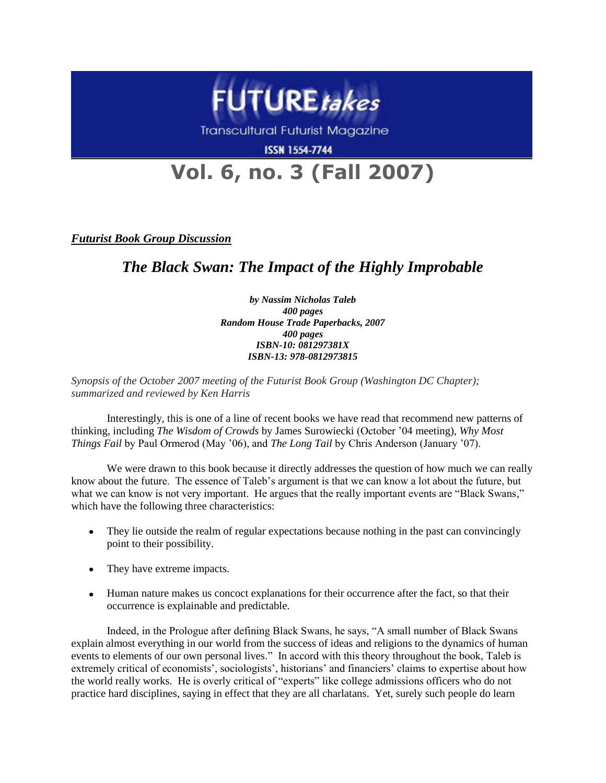

**Transcultural Futurist Magazine** 

**ISSN 1554-7744** 

## **Vol. 6, no. 3 (Fall 2007)**

*Futurist Book Group Discussion*

## *The Black Swan: The Impact of the Highly Improbable*

*by Nassim Nicholas Taleb 400 pages Random House Trade Paperbacks, 2007 400 pages ISBN-10: 081297381X ISBN-13: 978-0812973815*

*Synopsis of the October 2007 meeting of the Futurist Book Group (Washington DC Chapter); summarized and reviewed by Ken Harris*

Interestingly, this is one of a line of recent books we have read that recommend new patterns of thinking, including *The Wisdom of Crowds* by James Surowiecki (October '04 meeting), *Why Most Things Fail* by Paul Ormerod (May '06), and *The Long Tail* by Chris Anderson (January '07).

We were drawn to this book because it directly addresses the question of how much we can really know about the future. The essence of Taleb's argument is that we can know a lot about the future, but what we can know is not very important. He argues that the really important events are "Black Swans," which have the following three characteristics:

- They lie outside the realm of regular expectations because nothing in the past can convincingly point to their possibility.
- They have extreme impacts.
- Human nature makes us concoct explanations for their occurrence after the fact, so that their occurrence is explainable and predictable.

Indeed, in the Prologue after defining Black Swans, he says, "A small number of Black Swans explain almost everything in our world from the success of ideas and religions to the dynamics of human events to elements of our own personal lives." In accord with this theory throughout the book, Taleb is extremely critical of economists', sociologists', historians' and financiers' claims to expertise about how the world really works. He is overly critical of "experts" like college admissions officers who do not practice hard disciplines, saying in effect that they are all charlatans. Yet, surely such people do learn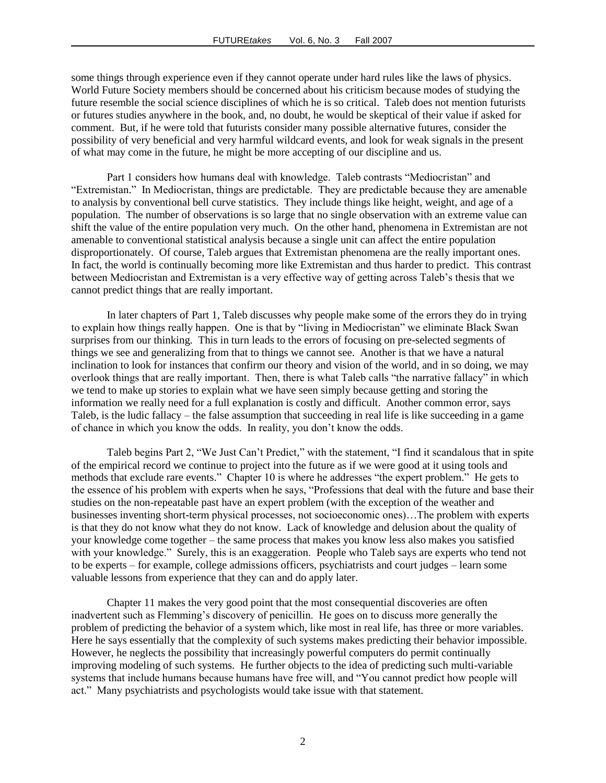some things through experience even if they cannot operate under hard rules like the laws of physics. World Future Society members should be concerned about his criticism because modes of studying the future resemble the social science disciplines of which he is so critical. Taleb does not mention futurists or futures studies anywhere in the book, and, no doubt, he would be skeptical of their value if asked for comment. But, if he were told that futurists consider many possible alternative futures, consider the possibility of very beneficial and very harmful wildcard events, and look for weak signals in the present of what may come in the future, he might be more accepting of our discipline and us.

Part 1 considers how humans deal with knowledge. Taleb contrasts "Mediocristan" and "Extremistan." In Mediocristan, things are predictable. They are predictable because they are amenable to analysis by conventional bell curve statistics. They include things like height, weight, and age of a population. The number of observations is so large that no single observation with an extreme value can shift the value of the entire population very much. On the other hand, phenomena in Extremistan are not amenable to conventional statistical analysis because a single unit can affect the entire population disproportionately. Of course, Taleb argues that Extremistan phenomena are the really important ones. In fact, the world is continually becoming more like Extremistan and thus harder to predict. This contrast between Mediocristan and Extremistan is a very effective way of getting across Taleb's thesis that we cannot predict things that are really important.

In later chapters of Part 1, Taleb discusses why people make some of the errors they do in trying to explain how things really happen. One is that by "living in Mediocristan" we eliminate Black Swan surprises from our thinking. This in turn leads to the errors of focusing on pre-selected segments of things we see and generalizing from that to things we cannot see. Another is that we have a natural inclination to look for instances that confirm our theory and vision of the world, and in so doing, we may overlook things that are really important. Then, there is what Taleb calls "the narrative fallacy" in which we tend to make up stories to explain what we have seen simply because getting and storing the information we really need for a full explanation is costly and difficult. Another common error, says Taleb, is the ludic fallacy – the false assumption that succeeding in real life is like succeeding in a game of chance in which you know the odds. In reality, you don't know the odds.

Taleb begins Part 2, "We Just Can't Predict," with the statement, "I find it scandalous that in spite of the empirical record we continue to project into the future as if we were good at it using tools and methods that exclude rare events." Chapter 10 is where he addresses "the expert problem." He gets to the essence of his problem with experts when he says, "Professions that deal with the future and base their studies on the non-repeatable past have an expert problem (with the exception of the weather and businesses inventing short-term physical processes, not socioeconomic ones)…The problem with experts is that they do not know what they do not know. Lack of knowledge and delusion about the quality of your knowledge come together – the same process that makes you know less also makes you satisfied with your knowledge." Surely, this is an exaggeration. People who Taleb says are experts who tend not to be experts – for example, college admissions officers, psychiatrists and court judges – learn some valuable lessons from experience that they can and do apply later.

Chapter 11 makes the very good point that the most consequential discoveries are often inadvertent such as Flemming's discovery of penicillin. He goes on to discuss more generally the problem of predicting the behavior of a system which, like most in real life, has three or more variables. Here he says essentially that the complexity of such systems makes predicting their behavior impossible. However, he neglects the possibility that increasingly powerful computers do permit continually improving modeling of such systems. He further objects to the idea of predicting such multi-variable systems that include humans because humans have free will, and "You cannot predict how people will act." Many psychiatrists and psychologists would take issue with that statement.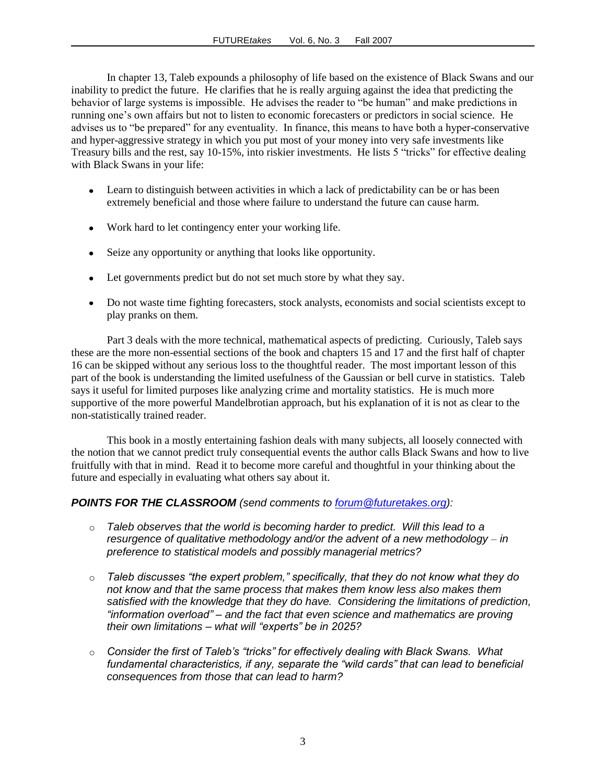In chapter 13, Taleb expounds a philosophy of life based on the existence of Black Swans and our inability to predict the future. He clarifies that he is really arguing against the idea that predicting the behavior of large systems is impossible. He advises the reader to "be human" and make predictions in running one's own affairs but not to listen to economic forecasters or predictors in social science. He advises us to "be prepared" for any eventuality. In finance, this means to have both a hyper-conservative and hyper-aggressive strategy in which you put most of your money into very safe investments like Treasury bills and the rest, say 10-15%, into riskier investments. He lists 5 "tricks" for effective dealing with Black Swans in your life:

- Learn to distinguish between activities in which a lack of predictability can be or has been extremely beneficial and those where failure to understand the future can cause harm.
- Work hard to let contingency enter your working life.
- Seize any opportunity or anything that looks like opportunity.
- Let governments predict but do not set much store by what they say.
- Do not waste time fighting forecasters, stock analysts, economists and social scientists except to play pranks on them.

Part 3 deals with the more technical, mathematical aspects of predicting. Curiously, Taleb says these are the more non-essential sections of the book and chapters 15 and 17 and the first half of chapter 16 can be skipped without any serious loss to the thoughtful reader. The most important lesson of this part of the book is understanding the limited usefulness of the Gaussian or bell curve in statistics. Taleb says it useful for limited purposes like analyzing crime and mortality statistics. He is much more supportive of the more powerful Mandelbrotian approach, but his explanation of it is not as clear to the non-statistically trained reader.

This book in a mostly entertaining fashion deals with many subjects, all loosely connected with the notion that we cannot predict truly consequential events the author calls Black Swans and how to live fruitfully with that in mind. Read it to become more careful and thoughtful in your thinking about the future and especially in evaluating what others say about it.

## *POINTS FOR THE CLASSROOM (send comments to [forum@futuretakes.org\)](mailto:forum@futuretakes.org):*

- o *Taleb observes that the world is becoming harder to predict. Will this lead to a resurgence of qualitative methodology and/or the advent of a new methodology – in preference to statistical models and possibly managerial metrics?*
- o *Taleb discusses "the expert problem," specifically, that they do not know what they do not know and that the same process that makes them know less also makes them satisfied with the knowledge that they do have. Considering the limitations of prediction, "information overload" – and the fact that even science and mathematics are proving their own limitations – what will "experts" be in 2025?*
- o *Consider the first of Taleb's "tricks" for effectively dealing with Black Swans. What fundamental characteristics, if any, separate the "wild cards" that can lead to beneficial consequences from those that can lead to harm?*